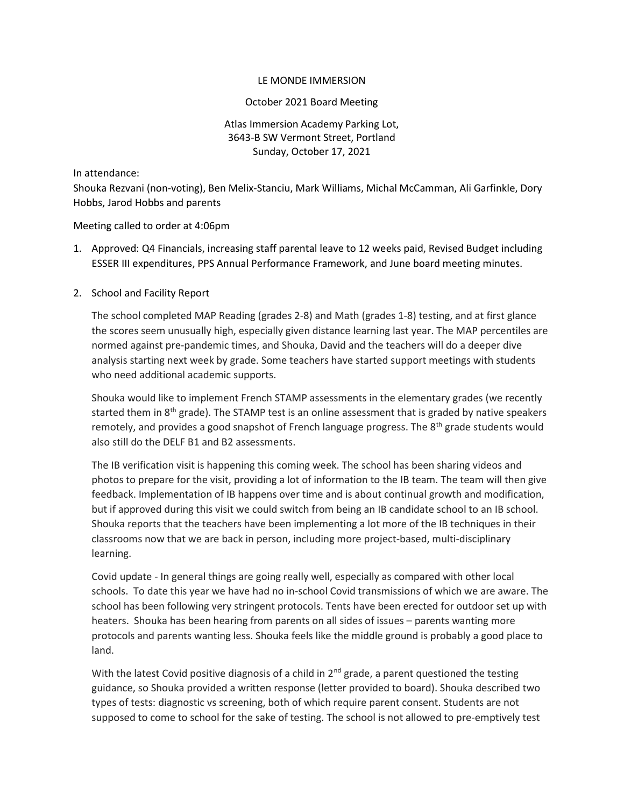### LE MONDE IMMERSION

#### October 2021 Board Meeting

# Atlas Immersion Academy Parking Lot, 3643-B SW Vermont Street, Portland Sunday, October 17, 2021

In attendance:

Shouka Rezvani (non-voting), Ben Melix-Stanciu, Mark Williams, Michal McCamman, Ali Garfinkle, Dory Hobbs, Jarod Hobbs and parents

Meeting called to order at 4:06pm

1. Approved: Q4 Financials, increasing staff parental leave to 12 weeks paid, Revised Budget including ESSER III expenditures, PPS Annual Performance Framework, and June board meeting minutes.

## 2. School and Facility Report

The school completed MAP Reading (grades 2-8) and Math (grades 1-8) testing, and at first glance the scores seem unusually high, especially given distance learning last year. The MAP percentiles are normed against pre-pandemic times, and Shouka, David and the teachers will do a deeper dive analysis starting next week by grade. Some teachers have started support meetings with students who need additional academic supports.

Shouka would like to implement French STAMP assessments in the elementary grades (we recently started them in  $8<sup>th</sup>$  grade). The STAMP test is an online assessment that is graded by native speakers remotely, and provides a good snapshot of French language progress. The  $8<sup>th</sup>$  grade students would also still do the DELF B1 and B2 assessments.

The IB verification visit is happening this coming week. The school has been sharing videos and photos to prepare for the visit, providing a lot of information to the IB team. The team will then give feedback. Implementation of IB happens over time and is about continual growth and modification, but if approved during this visit we could switch from being an IB candidate school to an IB school. Shouka reports that the teachers have been implementing a lot more of the IB techniques in their classrooms now that we are back in person, including more project-based, multi-disciplinary learning.

Covid update - In general things are going really well, especially as compared with other local schools. To date this year we have had no in-school Covid transmissions of which we are aware. The school has been following very stringent protocols. Tents have been erected for outdoor set up with heaters. Shouka has been hearing from parents on all sides of issues – parents wanting more protocols and parents wanting less. Shouka feels like the middle ground is probably a good place to land.

With the latest Covid positive diagnosis of a child in  $2<sup>nd</sup>$  grade, a parent questioned the testing guidance, so Shouka provided a written response (letter provided to board). Shouka described two types of tests: diagnostic vs screening, both of which require parent consent. Students are not supposed to come to school for the sake of testing. The school is not allowed to pre-emptively test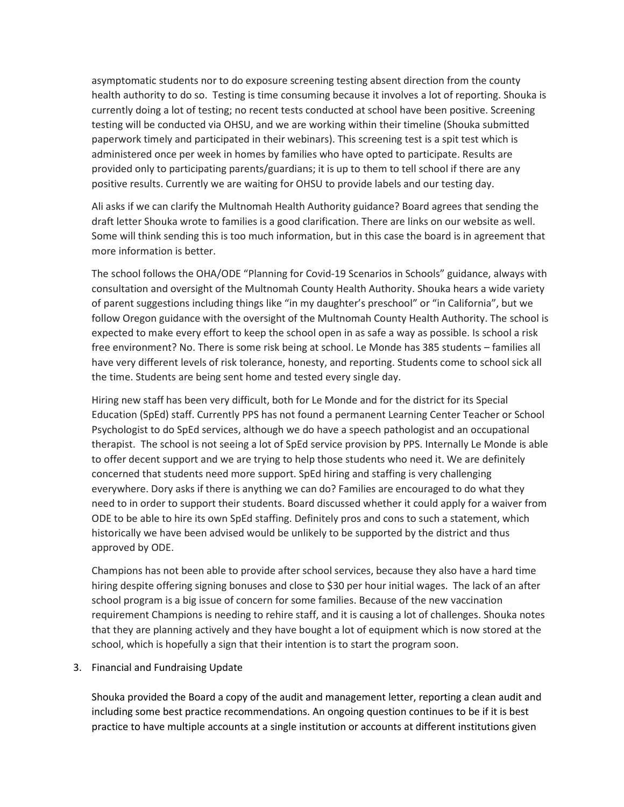asymptomatic students nor to do exposure screening testing absent direction from the county health authority to do so. Testing is time consuming because it involves a lot of reporting. Shouka is currently doing a lot of testing; no recent tests conducted at school have been positive. Screening testing will be conducted via OHSU, and we are working within their timeline (Shouka submitted paperwork timely and participated in their webinars). This screening test is a spit test which is administered once per week in homes by families who have opted to participate. Results are provided only to participating parents/guardians; it is up to them to tell school if there are any positive results. Currently we are waiting for OHSU to provide labels and our testing day.

Ali asks if we can clarify the Multnomah Health Authority guidance? Board agrees that sending the draft letter Shouka wrote to families is a good clarification. There are links on our website as well. Some will think sending this is too much information, but in this case the board is in agreement that more information is better.

The school follows the OHA/ODE "Planning for Covid-19 Scenarios in Schools" guidance, always with consultation and oversight of the Multnomah County Health Authority. Shouka hears a wide variety of parent suggestions including things like "in my daughter's preschool" or "in California", but we follow Oregon guidance with the oversight of the Multnomah County Health Authority. The school is expected to make every effort to keep the school open in as safe a way as possible. Is school a risk free environment? No. There is some risk being at school. Le Monde has 385 students – families all have very different levels of risk tolerance, honesty, and reporting. Students come to school sick all the time. Students are being sent home and tested every single day.

Hiring new staff has been very difficult, both for Le Monde and for the district for its Special Education (SpEd) staff. Currently PPS has not found a permanent Learning Center Teacher or School Psychologist to do SpEd services, although we do have a speech pathologist and an occupational therapist. The school is not seeing a lot of SpEd service provision by PPS. Internally Le Monde is able to offer decent support and we are trying to help those students who need it. We are definitely concerned that students need more support. SpEd hiring and staffing is very challenging everywhere. Dory asks if there is anything we can do? Families are encouraged to do what they need to in order to support their students. Board discussed whether it could apply for a waiver from ODE to be able to hire its own SpEd staffing. Definitely pros and cons to such a statement, which historically we have been advised would be unlikely to be supported by the district and thus approved by ODE.

Champions has not been able to provide after school services, because they also have a hard time hiring despite offering signing bonuses and close to \$30 per hour initial wages. The lack of an after school program is a big issue of concern for some families. Because of the new vaccination requirement Champions is needing to rehire staff, and it is causing a lot of challenges. Shouka notes that they are planning actively and they have bought a lot of equipment which is now stored at the school, which is hopefully a sign that their intention is to start the program soon.

3. Financial and Fundraising Update

Shouka provided the Board a copy of the audit and management letter, reporting a clean audit and including some best practice recommendations. An ongoing question continues to be if it is best practice to have multiple accounts at a single institution or accounts at different institutions given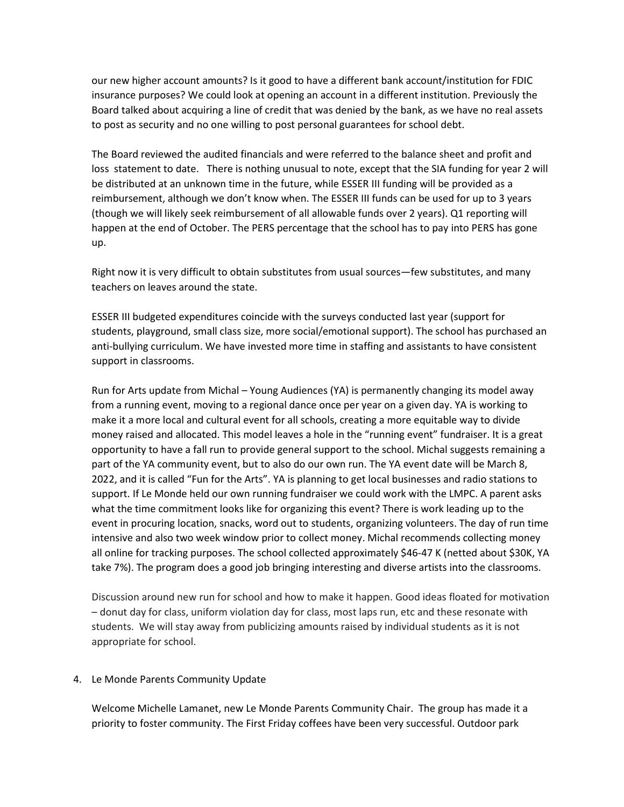our new higher account amounts? Is it good to have a different bank account/institution for FDIC insurance purposes? We could look at opening an account in a different institution. Previously the Board talked about acquiring a line of credit that was denied by the bank, as we have no real assets to post as security and no one willing to post personal guarantees for school debt.

The Board reviewed the audited financials and were referred to the balance sheet and profit and loss statement to date. There is nothing unusual to note, except that the SIA funding for year 2 will be distributed at an unknown time in the future, while ESSER III funding will be provided as a reimbursement, although we don't know when. The ESSER III funds can be used for up to 3 years (though we will likely seek reimbursement of all allowable funds over 2 years). Q1 reporting will happen at the end of October. The PERS percentage that the school has to pay into PERS has gone up.

Right now it is very difficult to obtain substitutes from usual sources—few substitutes, and many teachers on leaves around the state.

ESSER III budgeted expenditures coincide with the surveys conducted last year (support for students, playground, small class size, more social/emotional support). The school has purchased an anti-bullying curriculum. We have invested more time in staffing and assistants to have consistent support in classrooms.

Run for Arts update from Michal – Young Audiences (YA) is permanently changing its model away from a running event, moving to a regional dance once per year on a given day. YA is working to make it a more local and cultural event for all schools, creating a more equitable way to divide money raised and allocated. This model leaves a hole in the "running event" fundraiser. It is a great opportunity to have a fall run to provide general support to the school. Michal suggests remaining a part of the YA community event, but to also do our own run. The YA event date will be March 8, 2022, and it is called "Fun for the Arts". YA is planning to get local businesses and radio stations to support. If Le Monde held our own running fundraiser we could work with the LMPC. A parent asks what the time commitment looks like for organizing this event? There is work leading up to the event in procuring location, snacks, word out to students, organizing volunteers. The day of run time intensive and also two week window prior to collect money. Michal recommends collecting money all online for tracking purposes. The school collected approximately \$46-47 K (netted about \$30K, YA take 7%). The program does a good job bringing interesting and diverse artists into the classrooms.

Discussion around new run for school and how to make it happen. Good ideas floated for motivation – donut day for class, uniform violation day for class, most laps run, etc and these resonate with students. We will stay away from publicizing amounts raised by individual students as it is not appropriate for school.

## 4. Le Monde Parents Community Update

Welcome Michelle Lamanet, new Le Monde Parents Community Chair. The group has made it a priority to foster community. The First Friday coffees have been very successful. Outdoor park